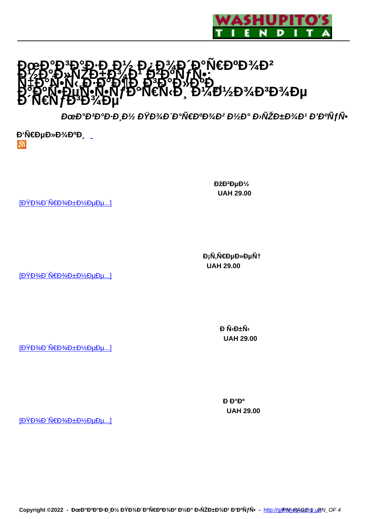

# **H&N€DºD¾D2 1975° D. NZD+D%D19740N FN:<br>N#D°N•N<sub>1\$</sub>D+D°D¶D+D3D°D»D°E чаѰÑ', Đ∓ажĎ Đ3аĐ3ĐºĐ<br>₽°₽ºŇ•еҰN°NfаN€Ñ<Đ, Đ¼Đ ĐΤΟΝ-ĐÙN-N-NTĐ N€N D D 4Đ1⁄2Đ34Đ3Đ34Đμ<br>Đ N€NJĐ3Đ34е**

ĐœĐ°Đ<sup>3</sup>аĐ∙иĐ½ ĐŸĐ¾Đ´Đ°Ñ€ĐºĐ¾Đ² Đ½Đ° Đ›ÑŽĐ±Đ¾Đ' Đ'ĐºÑfÑ•

 $\mathbf{D}'\tilde{\mathsf{N}}\in\mathsf{D}\mathsf{\mu}\mathsf{D}\mathsf{\nu}\mathsf{D}^3\mathsf{\mu}\mathsf{D}^0\mathsf{D}$ 5.

 $[D\overleftrightarrow{P}$ %D' $\overleftrightarrow{N}$  $E$ D $\overleftrightarrow{P}$  $E$ D $\overleftrightarrow{P}$ D $\mu$ D $\mu$ ...]

**Đ**<sub>i</sub>Ñ,Ñ€ĐµĐ»ĐµÑ†  **UAH 29.00** 

Dž<sub>D</sub><sup>2</sup>D<sub>µ</sub>D<sup>1</sup>/<sub>2</sub>  **UAH 29.00** 

 $[D\overline{Y}D\overline{Y}D\overline{Y}D]$ 

 $\mathbf{D} \tilde{\mathbf{N}} \oplus \pm \tilde{\mathbf{N}}$  **UAH 29.00** 

 $[D\overline{Y}D\overline{Y}D\overline{Y}D]$  $[D\overline{Y}D\overline{Y}D\overline{Y}D]$ 

**Р**ефе  **UAH 29.00** 

 $[D\ddot{Y}D\%D'\ddot{N}\in D\%D\pm D\%D\mu D\mu...]$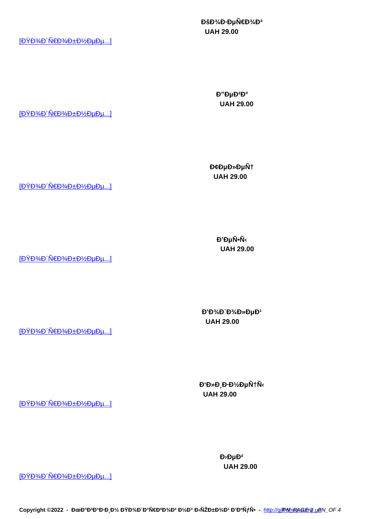**UAH 29.00** 

 $[D\overline{Y}D\overline{Y}D\overline{Y}D]$ 

 $D''D\mu D^2D^{\circ}$  **UAH 29.00** 

 $[D\overleftrightarrow{Y}D\overleftrightarrow{A}D\overleftrightarrow{N}\in D\overline{X}D\overleftrightarrow{B}D\pm D\overleftrightarrow{X}D\mu D\mu...]$ 

**D**¢DµD»DµÑt  **UAH 29.00** 

 $[D\ddot{Y}D\%D'\ddot{N}\in D\%D\pm D\%D\mu D\mu...]$ 

**D'DµÑ•Ñ UAH 29.00** 

 $[D\breve{Y}D\breve{\otimes}D\breve{N}\in D\breve{\otimes}D\cong D\breve{\otimes}D\perp D\breve{\otimes}D\mu D\mu...]$ 

**Đ'Đ**<sup>3</sup>/<sub>4</sub>**Đ** 'Đ<sup>3</sup>/<sub>4</sub>**Đ**<sup>3</sup> DµĐ<sup>1</sup>  **UAH 29.00** 

 $[D\overleftrightarrow{Y}D\overleftrightarrow{A}D\overleftrightarrow{N}\in D\overline{2}AD\pm D\overleftrightarrow{D}D\mu D\mu...]$ 

**Đ**<sup>6</sup>**D**<sup>5</sup>**D**<sub>2</sub>**D**<sub>1</sub>*D*<sup>1</sup>/<sub>2</sub>**D**<sub>1</sub>*N*<sup>1</sup>  **UAH 29.00** 

[ĐŸĐ¾Đ ´Ñ€Đ¾Đ±Đ½ĐµĐµ...]

**D**<sup>b</sup>  **UAH 29.00** 

 $[D\overleftrightarrow{Y}D\overleftrightarrow{A}D\overleftrightarrow{N}\in D\overline{\mathcal{H}}D\overleftrightarrow{B}D\pm D\overleftrightarrow{Y}_2D\mu D\mu$ ...]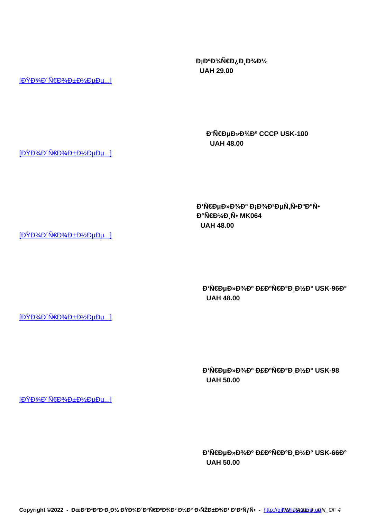Copyright ©2022 - ĐœĐ°Đ<sup>3</sup>аĐ⋅Đ *zY* ĐŸĐ¾Đ Đ°Ñ€ĐºĐ¾Đ<sup>2</sup> Đ¼Đ° Đ≀ÑŽĐ±Đ¾Đ1 Đ'ĐºÑƒÑ• - http://gifRsh@ASE 5 ugN\_OF 4

**D**<sub>i</sub>D<sup>0</sup>D<sup>3</sup>/<sub>4</sub>N€D<sub>2</sub> D<sub>3</sub>/<sub>4</sub>D<sup>1</sup>/<sub>2</sub>  **UAH 29.00** 

> **Đ'Ñ€ĐµĐ»Đ¾Đº CCCP USK-100 UAH 48.00**

*Đ'***Ñ€ĐμĐ»**Đ<sup>3</sup>/4D<sup>0</sup> Đ<sub>i</sub>Đ<sup>3</sup>/4D<sup>2</sup>ĐμÑ,Ñ•Đ<sup>o</sup>аÑ•  **UAH 48.00** 

 $D'$ Ñ€ĐµĐ»Đ¾Đº Đ£ĐºÑ€Đ°Đ Đ¼Đ° USK-96а  **UAH 48.00** 

**Đ'Ñ€ĐµĐ»Đ¾Đº Đ£ĐºÑ€Đ°Đ Đ¼Đ° USK-98 UAH 50.00** 

 $D'$ Ñ€ĐµĐ»Đ¾Đº Đ£ĐºÑ€Đ°Đ¸Đ¼Đ° USK-66а  **UAH 50.00** 

 $[D\overleftrightarrow{Y}D\overleftrightarrow{A}D\overleftrightarrow{N}\in D\overline{\mathcal{H}}D\overleftrightarrow{B}D\pm D\overleftrightarrow{B}D\mu D\mu...]$ 

 $[D\overleftrightarrow{Y}D\overleftrightarrow{A}D\overleftrightarrow{N}\in D\overline{\mathcal{H}}D\overleftrightarrow{A}D\pm D\overleftrightarrow{Y}D\mu D\mu...]$ 

 $[D\overline{Y}D\overline{Y}D\overline{Y}D]$ 

 $[D\breve{Y}D\breve{\otimes}D\breve{N}\in D\breve{\otimes}D\cong D\breve{\otimes}D\perp D\breve{\otimes}D\mu D\mu...]$ 

 $[D\ddot{Y}D\%D\acute{N}\in D\%D\pm D\%D\mu D\mu...]$ 

**аÑ€Đ¼Đ Ñ• MK064**